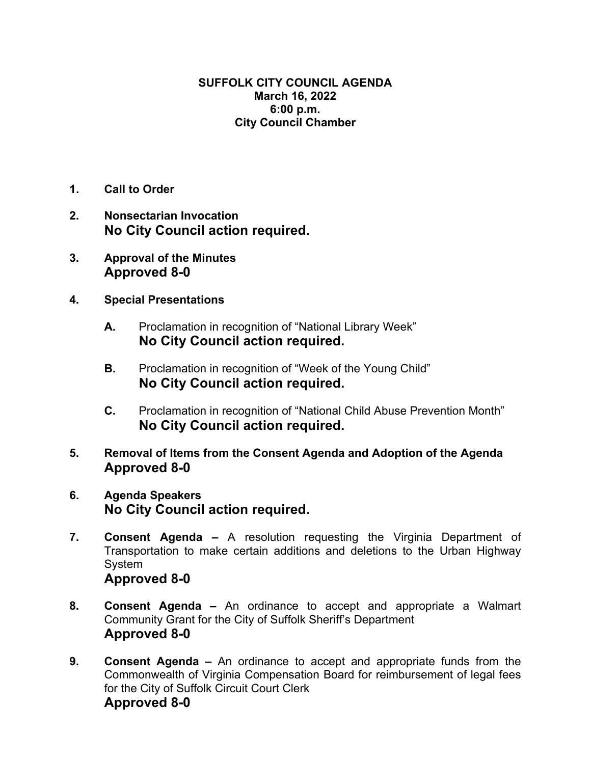## **SUFFOLK CITY COUNCIL AGENDA March 16, 2022 6:00 p.m. City Council Chamber**

- **1. Call to Order**
- **2. Nonsectarian Invocation No City Council action required.**
- **3. Approval of the Minutes Approved 8-0**
- **4. Special Presentations** 
	- **A.** Proclamation in recognition of "National Library Week" **No City Council action required.**
	- **B.** Proclamation in recognition of "Week of the Young Child" **No City Council action required.**
	- **C.** Proclamation in recognition of "National Child Abuse Prevention Month" **No City Council action required.**
- **5. Removal of Items from the Consent Agenda and Adoption of the Agenda Approved 8-0**
- **6. Agenda Speakers No City Council action required.**
- **7. Consent Agenda** A resolution requesting the Virginia Department of Transportation to make certain additions and deletions to the Urban Highway System **Approved 8-0**
- **8. Consent Agenda –** An ordinance to accept and appropriate a Walmart Community Grant for the City of Suffolk Sheriff's Department **Approved 8-0**
- **9. Consent Agenda –** An ordinance to accept and appropriate funds from the Commonwealth of Virginia Compensation Board for reimbursement of legal fees for the City of Suffolk Circuit Court Clerk **Approved 8-0**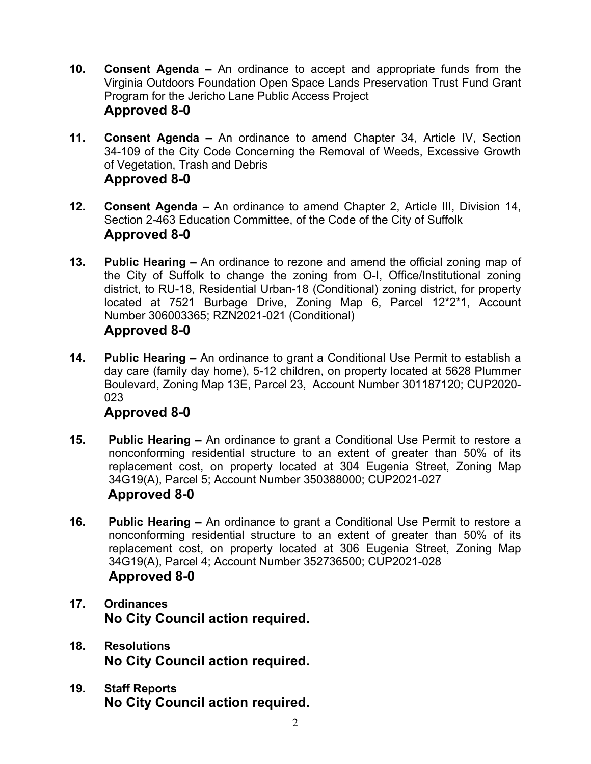- **10. Consent Agenda –** An ordinance to accept and appropriate funds from the Virginia Outdoors Foundation Open Space Lands Preservation Trust Fund Grant Program for the Jericho Lane Public Access Project **Approved 8-0**
- **11. Consent Agenda** An ordinance to amend Chapter 34, Article IV, Section 34-109 of the City Code Concerning the Removal of Weeds, Excessive Growth of Vegetation, Trash and Debris **Approved 8-0**
- **12. Consent Agenda** An ordinance to amend Chapter 2, Article III, Division 14, Section 2-463 Education Committee, of the Code of the City of Suffolk **Approved 8-0**
- **13. Public Hearing** An ordinance to rezone and amend the official zoning map of the City of Suffolk to change the zoning from O-I, Office/Institutional zoning district, to RU-18, Residential Urban-18 (Conditional) zoning district, for property located at 7521 Burbage Drive, Zoning Map 6, Parcel 12\*2\*1, Account Number 306003365; RZN2021-021 (Conditional) **Approved 8-0**
- **14. Public Hearing –** An ordinance to grant a Conditional Use Permit to establish a day care (family day home), 5-12 children, on property located at 5628 Plummer Boulevard, Zoning Map 13E, Parcel 23, Account Number 301187120; CUP2020- 023

## **Approved 8-0**

- **15. Public Hearing** An ordinance to grant a Conditional Use Permit to restore a nonconforming residential structure to an extent of greater than 50% of its replacement cost, on property located at 304 Eugenia Street, Zoning Map 34G19(A), Parcel 5; Account Number 350388000; CUP2021-027  **Approved 8-0**
- **16. Public Hearing –** An ordinance to grant a Conditional Use Permit to restore a nonconforming residential structure to an extent of greater than 50% of its replacement cost, on property located at 306 Eugenia Street, Zoning Map 34G19(A), Parcel 4; Account Number 352736500; CUP2021-028 **Approved 8-0**
- **17. Ordinances No City Council action required.**
- **18. Resolutions No City Council action required.**
- **19. Staff Reports No City Council action required.**